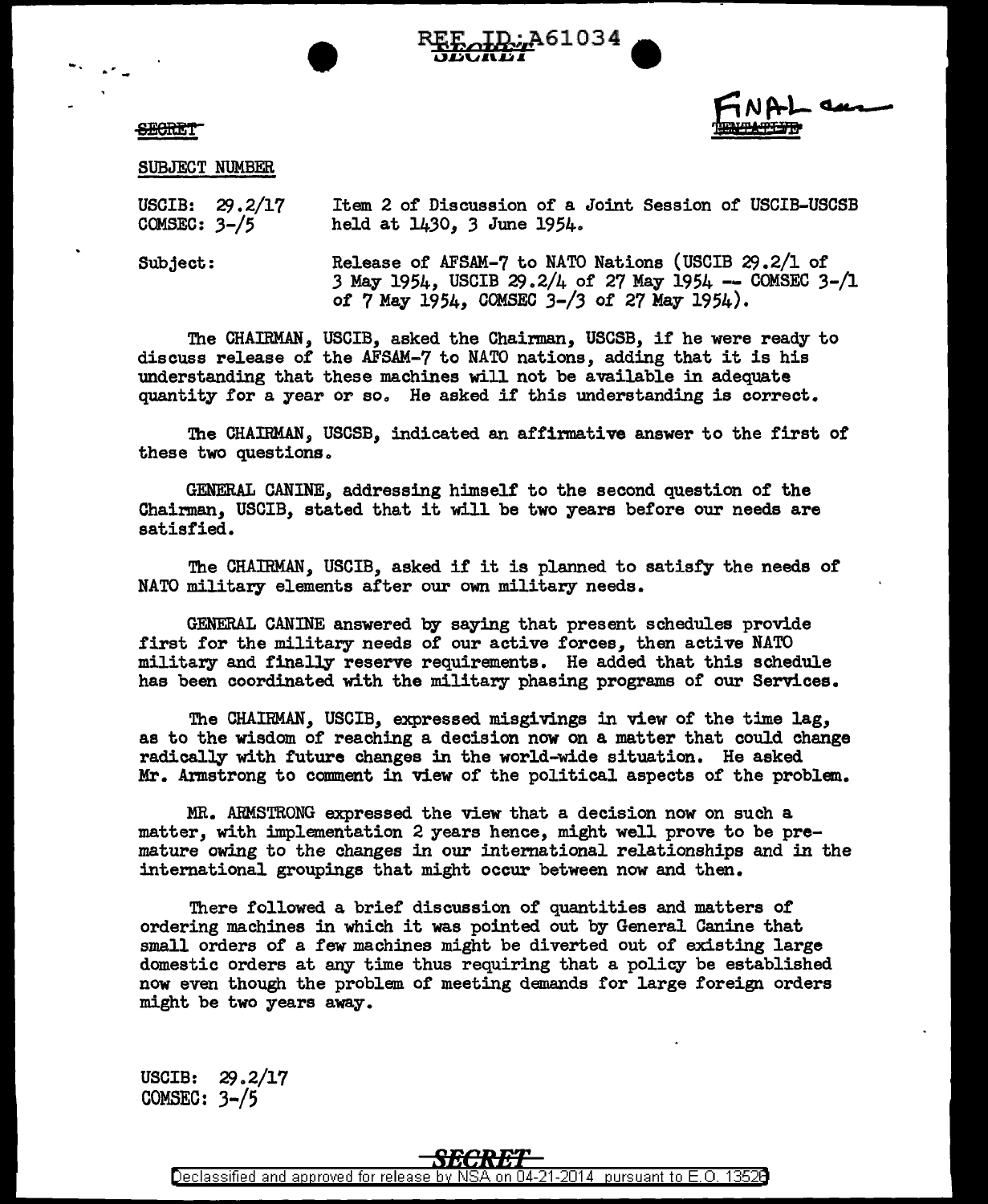

## **SECRET**

SUBJECT NUMBER

USCIB: 29.2/17 COMSEC: 3-/5 Item 2 of Discussion of a Joint Session of USCIB-USCSB held at 1430, 3 June 1954.

Subject: Release of AFSAM-7 to NATO Nations (USCIB  $29.2/1$  of 3 May 1954, USCIB  $29.2/4$  of 27 May 1954 -- COMSEC 3- $/1$ *ot* 7 May 1954, COMSEC *3-/3 ot* 27 May 1954).

The CHAIRMAN, USCIB, asked the Chairman, USCSB, if he were ready to discuss release of the AFSAM-7 to NATO nations, adding that it is his understanding that these machines will not be available in adequate quantity for a year or so. He asked if this understanding is correct.

The CHAIRMAN, USCSB, indicated an affirmative answer to the first of these two questions.

GENERAL CANINE, addressing himself' to the second question of the Chairman, USCIB, stated that it will be two years before our needs are satisfied.

The CHAIRMAN, USCIB, asked if it is planned to satisfy the needs or NATO military elements after our own military needs.

GENERAL CANINE answered by saying that present schedules provide first for the military needs of our active forces, then active NATO military and finally reserve requirements. He added that this schedule has been coordinated with the military phasing programs of our Services.

The CHAIRMAN, USCIB, expressed misgivings in view of the time lag, as to the wisdom of reaching a decision now on a matter that could change radically with future changes in the world-wide situation. He asked Mr. Armstrong to comment in view of the political aspects of the problem.

MR. ARMSTRONG expressed the view that a decision now on such a matter, with implementation 2 years hence, might well prove to be premature owing to the changes in our international relationships and in the intemational groupings that might occur between now and then.

There followed a brief discussion of quantities and matters of ordering machines in which it was pointed out by General Canine that small orders of a few machines might be diverted out of existing large domestic orders at any time thus requiring that a policy be established now even though the problem of meeting demands for large foreign orders might be two years away.

USCIB: 29.2/17 COMSEC:  $3-\frac{5}{5}$ 

Declassified and approved for release by NSA on 04-21-2014, pursuant to E.O. 13528